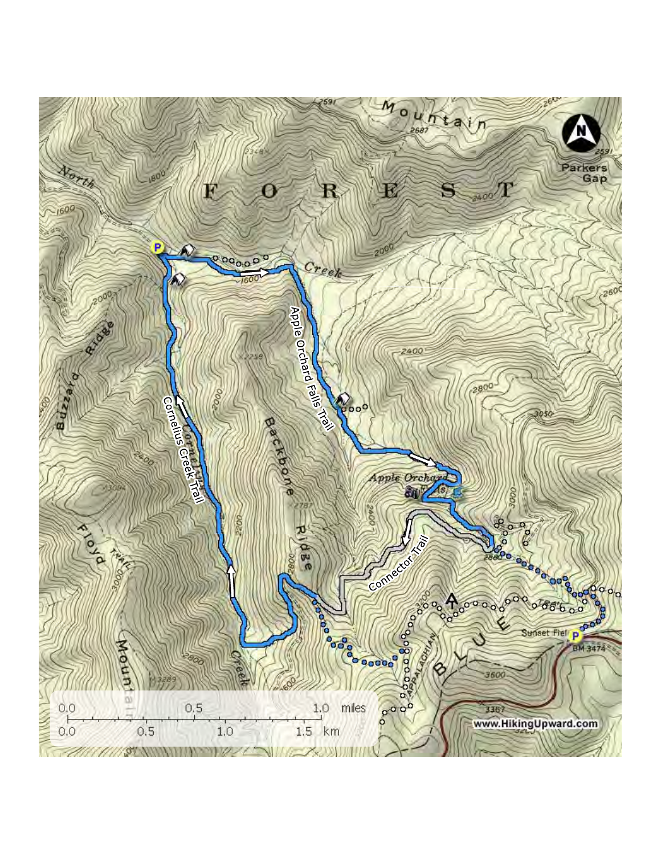